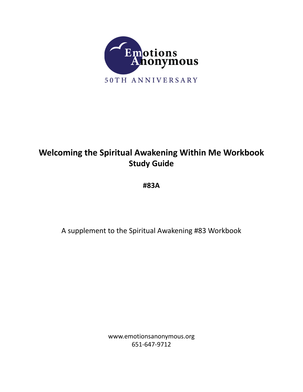

# **Welcoming the Spiritual Awakening Within Me Workbook Study Guide**

**#83A**

A supplement to the Spiritual Awakening #83 Workbook

www.emotionsanonymous.org 651-647-9712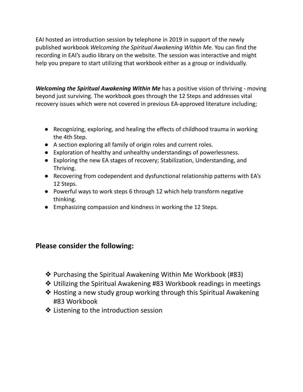EAI hosted an introduction session by telephone in 2019 in support of the newly published workbook *Welcoming the Spiritual Awakening Within Me.* You can find the recording in EAI's audio library on the website. The session was interactive and might help you prepare to start utilizing that workbook either as a group or individually.

*Welcoming the Spiritual Awakening Within Me* has a positive vision of thriving - moving beyond just surviving. The workbook goes through the 12 Steps and addresses vital recovery issues which were not covered in previous EA-approved literature including;

- Recognizing, exploring, and healing the effects of childhood trauma in working the 4th Step.
- A section exploring all family of origin roles and current roles.
- Exploration of healthy and unhealthy understandings of powerlessness.
- Exploring the new EA stages of recovery; Stabilization, Understanding, and Thriving.
- Recovering from codependent and dysfunctional relationship patterns with EA's 12 Steps.
- Powerful ways to work steps 6 through 12 which help transform negative thinking.
- Emphasizing compassion and kindness in working the 12 Steps.

### **Please consider the following:**

- ❖ Purchasing the Spiritual Awakening Within Me Workbook (#83)
- ❖ Utilizing the Spiritual Awakening #83 Workbook readings in meetings
- ❖ Hosting a new study group working through this Spiritual Awakening #83 Workbook
- ❖ Listening to the introduction session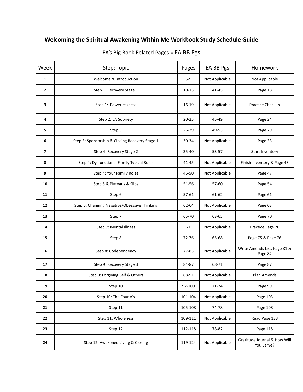## **Welcoming the Spiritual Awakening Within Me Workbook Study Schedule Guide**

| Week           | Step: Topic                                    | Pages     | EA BB Pgs      | Homework                                   |
|----------------|------------------------------------------------|-----------|----------------|--------------------------------------------|
| 1              | Welcome & Introduction                         | $5-9$     | Not Applicable | Not Applicable                             |
| $\overline{2}$ | Step 1: Recovery Stage 1                       | $10 - 15$ | 41-45          | Page 18                                    |
| 3              | Step 1: Powerlessness                          | 16-19     | Not Applicable | Practice Check In                          |
| 4              | Step 2: EA Sobriety                            | $20 - 25$ | 45-49          | Page 24                                    |
| 5              | Step 3                                         | 26-29     | 49-53          | Page 29                                    |
| 6              | Step 3: Sponsorship & Closing Recovery Stage 1 | 30-34     | Not Applicable | Page 33                                    |
| $\overline{7}$ | Step 4: Recovery Stage 2                       | 35-40     | 53-57          | Start Inventory                            |
| 8              | Step 4: Dysfunctional Family Typical Roles     | 41-45     | Not Applicable | Finish Inventory & Page 43                 |
| 9              | Step 4: Your Family Roles                      | 46-50     | Not Applicable | Page 47                                    |
| 10             | Step 5 & Plateaus & Slips                      | 51-56     | 57-60          | Page 54                                    |
| 11             | Step 6                                         | 57-61     | 61-62          | Page 61                                    |
| 12             | Step 6: Changing Negative/Obsessive Thinking   | 62-64     | Not Applicable | Page 63                                    |
| 13             | Step 7                                         | 65-70     | 63-65          | Page 70                                    |
| 14             | Step 7: Mental Illness                         | 71        | Not Applicable | Practice Page 70                           |
| 15             | Step 8                                         | 72-76     | 65-68          | Page 75 & Page 76                          |
| 16             | Step 8: Codependency                           | 77-83     | Not Applicable | Write Amends List, Page 81 &<br>Page 82    |
| 17             | Step 9: Recovery Stage 3                       | 84-87     | 68-71          | Page 87                                    |
| 18             | Step 9: Forgiving Self & Others                | 88-91     | Not Applicable | Plan Amends                                |
| 19             | Step 10                                        | 92-100    | 71-74          | Page 99                                    |
| 20             | Step 10: The Four A's                          | 101-104   | Not Applicable | Page 103                                   |
| 21             | Step 11                                        | 105-108   | 74-78          | Page 108                                   |
| 22             | Step 11: Wholeness                             | 109-111   | Not Applicable | Read Page 133                              |
| 23             | Step 12                                        | 112-118   | 78-82          | Page 118                                   |
| 24             | Step 12: Awakened Living & Closing             | 119-124   | Not Applicable | Gratitude Journal & How Will<br>You Serve? |

### EA's Big Book Related Pages = EA BB Pgs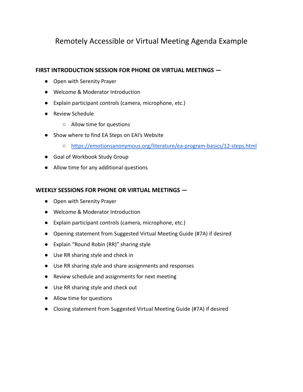# Remotely Accessible or Virtual Meeting Agenda Example

#### **FIRST INTRODUCTION SESSION FOR PHONE OR VIRTUAL MEETINGS —**

- Open with Serenity Prayer
- Welcome & Moderator Introduction
- Explain participant controls (camera, microphone, etc.)
- Review Schedule
	- Allow time for questions
- Show where to find EA Steps on EAI's Website
	- <https://emotionsanonymous.org/literature/ea-program-basics/12-steps.html>
- Goal of Workbook Study Group
- Allow time for any additional questions

### **WEEKLY SESSIONS FOR PHONE OR VIRTUAL MEETINGS —**

- Open with Serenity Prayer
- Welcome & Moderator Introduction
- Explain participant controls (camera, microphone, etc.)
- Opening statement from Suggested Virtual Meeting Guide (#7A) if desired
- Explain "Round Robin (RR)" sharing style
- Use RR sharing style and check in
- Use RR sharing style and share assignments and responses
- Review schedule and assignments for next meeting
- Use RR sharing style and check out
- Allow time for questions
- Closing statement from Suggested Virtual Meeting Guide (#7A) if desired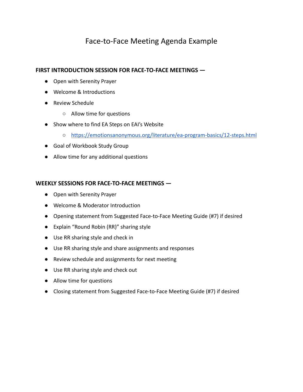# Face-to-Face Meeting Agenda Example

#### **FIRST INTRODUCTION SESSION FOR FACE-TO-FACE MEETINGS —**

- Open with Serenity Prayer
- Welcome & Introductions
- Review Schedule
	- Allow time for questions
- Show where to find EA Steps on EAI's Website
	- <https://emotionsanonymous.org/literature/ea-program-basics/12-steps.html>
- Goal of Workbook Study Group
- Allow time for any additional questions

#### **WEEKLY SESSIONS FOR FACE-TO-FACE MEETINGS —**

- Open with Serenity Prayer
- Welcome & Moderator Introduction
- Opening statement from Suggested Face-to-Face Meeting Guide (#7) if desired
- Explain "Round Robin (RR)" sharing style
- Use RR sharing style and check in
- Use RR sharing style and share assignments and responses
- Review schedule and assignments for next meeting
- Use RR sharing style and check out
- Allow time for questions
- Closing statement from Suggested Face-to-Face Meeting Guide (#7) if desired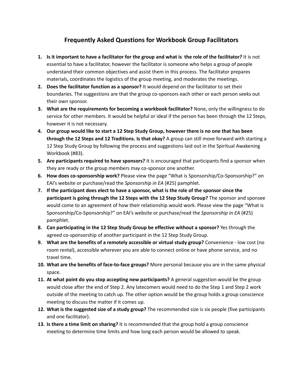### **Frequently Asked Questions for Workbook Group Facilitators**

- 1. Is it important to have a facilitator for the group and what is the role of the facilitator? It is not essential to have a facilitator, however the facilitator is someone who helps a group of people understand their common objectives and assist them in this process. The facilitator prepares materials, coordinates the logistics of the group meeting, and moderates the meetings.
- **2. Does the facilitator function as a sponsor?** It would depend on the facilitator to set their boundaries. The suggestions are that the group co-sponsors each other or each person seeks out their own sponsor.
- **3. What are the requirements for becoming a workbook facilitator?** None, only the willingness to do service for other members. It would be helpful or ideal if the person has been through the 12 Steps, however it is not necessary.
- 4. Our group would like to start a 12 Step Study Group, however there is no one that has been **through the 12 Steps and 12 Traditions. Is that okay?** A group can still move forward with starting a 12 Step Study Group by following the process and suggestions laid out in the Spiritual Awakening Workbook (#83).
- **5. Are participants required to have sponsors?** It is encouraged that participants find a sponsor when they are ready or the group members may co-sponsor one another.
- **6. How does co-sponsorship work?** Please view the page "What is Sponsorship/Co-Sponsorship?" on EAI's website or purchase/read the *Sponsorship in EA* (#25) pamphlet.
- 7. If the participant does elect to have a sponsor, what is the role of the sponsor since the **participant is going through the 12 Steps with the 12 Step Study Group?** The sponsor and sponsee would come to an agreement of how their relationship would work. Please view the page "What is Sponsorship/Co-Sponsorship?" on EAI's website or purchase/read the *Sponsorship in EA* (#25) pamphlet.
- **8. Can participating in the 12 Step Study Group be effective without a sponsor?** Yes through the agreed co-sponsorship of another participant in the 12 Step Study Group.
- **9. What are the benefits of a remotely accessible or virtual study group?** Convenience low cost (no room rental), accessible wherever you are able to connect online or have phone service, and no travel time.
- **10. What are the benefits of face-to-face groups?** More personal because you are in the same physical space.
- **11. At what point do you stop accepting new participants?** A general suggestion would be the group would close after the end of Step 2. Any latecomers would need to do the Step 1 and Step 2 work outside of the meeting to catch up. The other option would be the group holds a group conscience meeting to discuss the matter if it comes up.
- **12. What is the suggested size of a study group?** The recommended size is six people (five participants and one facilitator).
- **13. Is there a time limit on sharing?** It is recommended that the group hold a group conscience meeting to determine time limits and how long each person would be allowed to speak.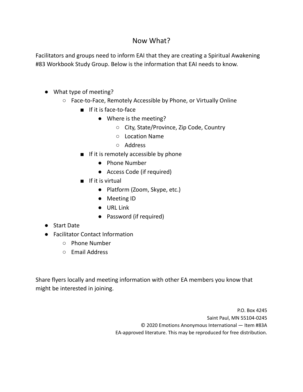### Now What?

Facilitators and groups need to inform EAI that they are creating a Spiritual Awakening #83 Workbook Study Group. Below is the information that EAI needs to know.

- What type of meeting?
	- Face-to-Face, Remotely Accessible by Phone, or Virtually Online
		- If it is face-to-face
			- Where is the meeting?
				- City, State/Province, Zip Code, Country
				- Location Name
				- Address
		- If it is remotely accessible by phone
			- Phone Number
			- Access Code (if required)
		- If it is virtual
			- Platform (Zoom, Skype, etc.)
			- Meeting ID
			- URL Link
			- Password (if required)
- Start Date
- Facilitator Contact Information
	- Phone Number
	- Email Address

Share flyers locally and meeting information with other EA members you know that might be interested in joining.

> P.O. Box 4245 Saint Paul, MN 55104-0245 © 2020 Emotions Anonymous International — Item #83A EA-approved literature. This may be reproduced for free distribution.